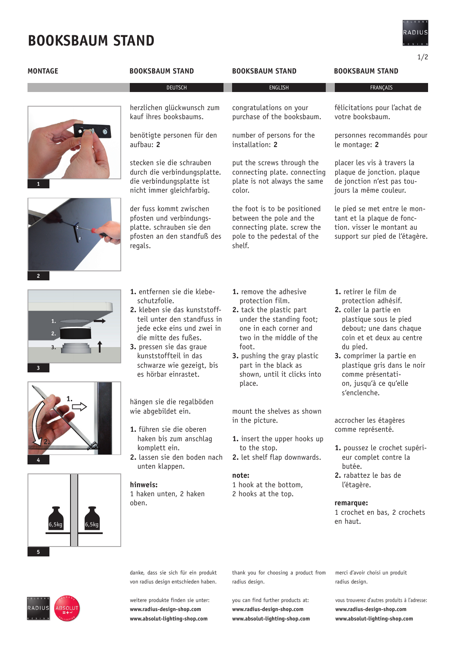## **booksbaum stand**

1/2

| <b>MONTAGE</b>         | <b>BOOKSBAUM STAND</b>                                                                                                                                                                                                                                                      | <b>BOOKSBAUM STAND</b>                                                                                                                                                                                                                                            | <b>BOOKSBAUM STAND</b>                                                                                                                                                                                                                                                                          |
|------------------------|-----------------------------------------------------------------------------------------------------------------------------------------------------------------------------------------------------------------------------------------------------------------------------|-------------------------------------------------------------------------------------------------------------------------------------------------------------------------------------------------------------------------------------------------------------------|-------------------------------------------------------------------------------------------------------------------------------------------------------------------------------------------------------------------------------------------------------------------------------------------------|
|                        | <b>DEUTSCH</b>                                                                                                                                                                                                                                                              | ENGLISH                                                                                                                                                                                                                                                           | FRANÇAIS                                                                                                                                                                                                                                                                                        |
|                        | herzlichen glückwunsch zum<br>kauf ihres booksbaums.                                                                                                                                                                                                                        | congratulations on your<br>purchase of the booksbaum.                                                                                                                                                                                                             | félicitations pour l'achat de<br>votre booksbaum.                                                                                                                                                                                                                                               |
|                        | benötigte personen für den<br>aufbau: 2                                                                                                                                                                                                                                     | number of persons for the<br>installation: 2                                                                                                                                                                                                                      | personnes recommandés pour<br>le montage: 2                                                                                                                                                                                                                                                     |
|                        | stecken sie die schrauben<br>durch die verbindungsplatte.<br>die verbindungsplatte ist<br>nicht immer gleichfarbig.                                                                                                                                                         | put the screws through the<br>connecting plate. connecting<br>plate is not always the same<br>color.                                                                                                                                                              | placer les vis à travers la<br>plaque de jonction. plaque<br>de jonction n'est pas tou-<br>jours la même couleur.                                                                                                                                                                               |
| $\overline{2}$         | der fuss kommt zwischen<br>pfosten und verbindungs-<br>platte. schrauben sie den<br>pfosten an den standfuß des<br>regals.                                                                                                                                                  | the foot is to be positioned<br>between the pole and the<br>connecting plate. screw the<br>pole to the pedestal of the<br>shelf.                                                                                                                                  | le pied se met entre le mon-<br>tant et la plaque de fonc-<br>tion. visser le montant au<br>support sur pied de l'étagère.                                                                                                                                                                      |
| 1.<br>3                | 1. entfernen sie die klebe-<br>schutzfolie.<br>2. kleben sie das kunststoff-<br>teil unter den standfuss in<br>jede ecke eins und zwei in<br>die mitte des fußes.<br>3. pressen sie das graue<br>kunststoffteil in das<br>schwarze wie gezeigt, bis<br>es hörbar einrastet. | 1. remove the adhesive<br>protection film.<br>2. tack the plastic part<br>under the standing foot;<br>one in each corner and<br>two in the middle of the<br>foot.<br>3. pushing the gray plastic<br>part in the black as<br>shown, until it clicks into<br>place. | 1. retirer le film de<br>protection adhésif.<br>2. coller la partie en<br>plastique sous le pied<br>debout; une dans chaque<br>coin et et deux au centre<br>du pied.<br>3. comprimer la partie en<br>plastique gris dans le noir<br>comme présentati-<br>on, jusqu'à ce qu'elle<br>s'enclenche. |
|                        | hängen sie die regalböden<br>wie abgebildet ein.<br>1. führen sie die oberen<br>haken bis zum anschlag<br>komplett ein.<br>2. lassen sie den boden nach<br>unten klappen.                                                                                                   | mount the shelves as shown<br>in the picture.<br>1. insert the upper hooks up<br>to the stop.<br>2. let shelf flap downwards.                                                                                                                                     | accrocher les étagères<br>comme représenté.<br>1. poussez le crochet supéri-<br>eur complet contre la<br>butée.                                                                                                                                                                                 |
| 6,5kg<br>6,5kq         | hinweis:<br>1 haken unten, 2 haken<br>oben.                                                                                                                                                                                                                                 | note:<br>1 hook at the bottom,<br>2 hooks at the top.                                                                                                                                                                                                             | 2. rabattez le bas de<br>l'étagère.<br>remarque:<br>1 crochet en bas, 2 crochets<br>en haut.                                                                                                                                                                                                    |
|                        | danke, dass sie sich für ein produkt<br>von radius design entschieden haben.                                                                                                                                                                                                | thank you for choosing a product from<br>radius design.                                                                                                                                                                                                           | merci d'avoir choisi un produit<br>radius design.                                                                                                                                                                                                                                               |
| ADIUS<br><b>\BSOLl</b> | weitere produkte finden sie unter:<br>www.radius-design-shop.com<br>www.ahsolut-lighting-shon.com                                                                                                                                                                           | you can find further products at:<br>www.radius-design-shop.com<br>www.ahsolut-lighting-shon.com                                                                                                                                                                  | vous trouverez d'autres produits à l'adresse:<br>www.radius-design-shop.com<br>www.ahsolut-lighting-shop.com                                                                                                                                                                                    |

**www.absolut-lighting-shop.com www.absolut-lighting-shop.com**

**www.absolut-lighting-shop.com**